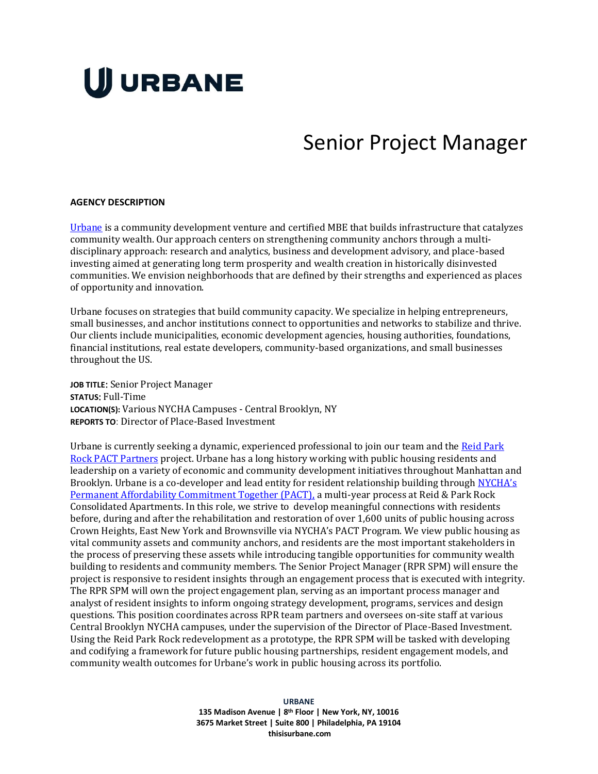# **UJ URBANE**

## Senior Project Manager

#### **AGENCY DESCRIPTION**

[Urbane](http://thisisurbane.com/) is a community development venture and certified MBE that builds infrastructure that catalyzes community wealth. Our approach centers on strengthening community anchors through a multidisciplinary approach: research and analytics, business and development advisory, and place-based investing aimed at generating long term prosperity and wealth creation in historically disinvested communities. We envision neighborhoods that are defined by their strengths and experienced as places of opportunity and innovation.

Urbane focuses on strategies that build community capacity. We specialize in helping entrepreneurs, small businesses, and anchor institutions connect to opportunities and networks to stabilize and thrive. Our clients include municipalities, economic development agencies, housing authorities, foundations, financial institutions, real estate developers, community-based organizations, and small businesses throughout the US.

**JOB TITLE**: Senior Project Manager **STATUS**: Full-Time **LOCATION(S):** Various NYCHA Campuses - Central Brooklyn, NY **REPORTS TO**: Director of Place-Based Investment

Urbane is currently seeking a dynamic, experienced professional to join our team and the Reid Park [Rock PACT Partners](https://www.reidparkrock.com/) project. Urbane has a long history working with public housing residents and leadership on a variety of economic and community development initiatives throughout Manhattan and Brooklyn. Urbane is a co-developer and lead entity for resident relationship building through [NYCHA's](https://www1.nyc.gov/site/nycha/about/pact.page)  [Permanent Affordability Commitment Together \(PACT\),](https://www1.nyc.gov/site/nycha/about/pact.page) a multi-year process at Reid & Park Rock Consolidated Apartments. In this role, we strive to develop meaningful connections with residents before, during and after the rehabilitation and restoration of over 1,600 units of public housing across Crown Heights, East New York and Brownsville via NYCHA's PACT Program. We view public housing as vital community assets and community anchors, and residents are the most important stakeholders in the process of preserving these assets while introducing tangible opportunities for community wealth building to residents and community members. The Senior Project Manager (RPR SPM) will ensure the project is responsive to resident insights through an engagement process that is executed with integrity. The RPR SPM will own the project engagement plan, serving as an important process manager and analyst of resident insights to inform ongoing strategy development, programs, services and design questions. This position coordinates across RPR team partners and oversees on-site staff at various Central Brooklyn NYCHA campuses, under the supervision of the Director of Place-Based Investment. Using the Reid Park Rock redevelopment as a prototype, the RPR SPM will be tasked with developing and codifying a framework for future public housing partnerships, resident engagement models, and community wealth outcomes for Urbane's work in public housing across its portfolio.

> **URBANE 135 Madison Avenue | 8 th Floor | New York, NY, 10016 3675 Market Street | Suite 800 | Philadelphia, PA 19104 thisisurbane.com**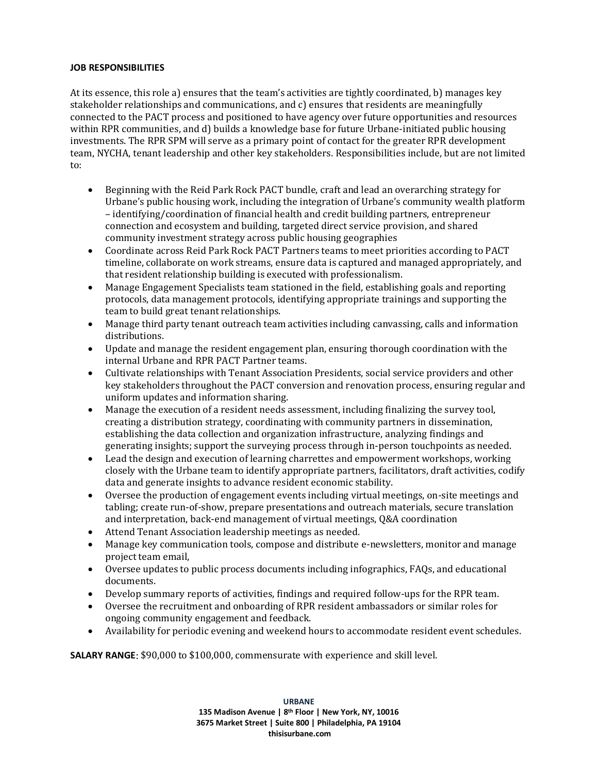#### **JOB RESPONSIBILITIES**

At its essence, this role a) ensures that the team's activities are tightly coordinated, b) manages key stakeholder relationships and communications, and c) ensures that residents are meaningfully connected to the PACT process and positioned to have agency over future opportunities and resources within RPR communities, and d) builds a knowledge base for future Urbane-initiated public housing investments. The RPR SPM will serve as a primary point of contact for the greater RPR development team, NYCHA, tenant leadership and other key stakeholders. Responsibilities include, but are not limited to:

- Beginning with the Reid Park Rock PACT bundle, craft and lead an overarching strategy for Urbane's public housing work, including the integration of Urbane's community wealth platform – identifying/coordination of financial health and credit building partners, entrepreneur connection and ecosystem and building, targeted direct service provision, and shared community investment strategy across public housing geographies
- Coordinate across Reid Park Rock PACT Partners teams to meet priorities according to PACT timeline, collaborate on work streams, ensure data is captured and managed appropriately, and that resident relationship building is executed with professionalism.
- Manage Engagement Specialists team stationed in the field, establishing goals and reporting protocols, data management protocols, identifying appropriate trainings and supporting the team to build great tenant relationships.
- Manage third party tenant outreach team activities including canvassing, calls and information distributions.
- Update and manage the resident engagement plan, ensuring thorough coordination with the internal Urbane and RPR PACT Partner teams.
- Cultivate relationships with Tenant Association Presidents, social service providers and other key stakeholders throughout the PACT conversion and renovation process, ensuring regular and uniform updates and information sharing.
- Manage the execution of a resident needs assessment, including finalizing the survey tool, creating a distribution strategy, coordinating with community partners in dissemination, establishing the data collection and organization infrastructure, analyzing findings and generating insights; support the surveying process through in-person touchpoints as needed.
- Lead the design and execution of learning charrettes and empowerment workshops, working closely with the Urbane team to identify appropriate partners, facilitators, draft activities, codify data and generate insights to advance resident economic stability.
- Oversee the production of engagement events including virtual meetings, on-site meetings and tabling; create run-of-show, prepare presentations and outreach materials, secure translation and interpretation, back-end management of virtual meetings, Q&A coordination
- Attend Tenant Association leadership meetings as needed.
- Manage key communication tools, compose and distribute e-newsletters, monitor and manage project team email,
- Oversee updates to public process documents including infographics, FAQs, and educational documents.
- Develop summary reports of activities, findings and required follow-ups for the RPR team.
- Oversee the recruitment and onboarding of RPR resident ambassadors or similar roles for ongoing community engagement and feedback.
- Availability for periodic evening and weekend hours to accommodate resident event schedules.

**SALARY RANGE**: \$90,000 to \$100,000, commensurate with experience and skill level.

**URBANE 135 Madison Avenue | 8 th Floor | New York, NY, 10016 3675 Market Street | Suite 800 | Philadelphia, PA 19104 thisisurbane.com**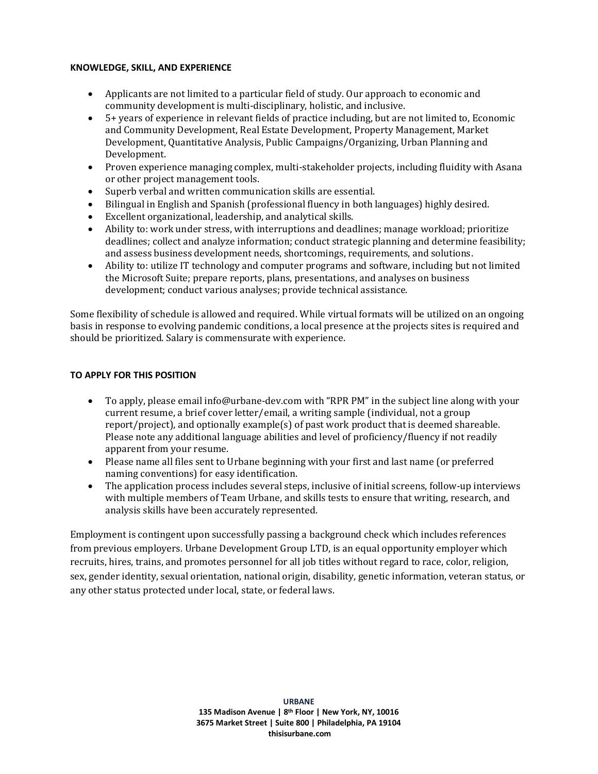#### **KNOWLEDGE, SKILL, AND EXPERIENCE**

- Applicants are not limited to a particular field of study. Our approach to economic and community development is multi-disciplinary, holistic, and inclusive.
- 5+ years of experience in relevant fields of practice including, but are not limited to, Economic and Community Development, Real Estate Development, Property Management, Market Development, Quantitative Analysis, Public Campaigns/Organizing, Urban Planning and Development.
- Proven experience managing complex, multi-stakeholder projects, including fluidity with Asana or other project management tools.
- Superb verbal and written communication skills are essential.
- Bilingual in English and Spanish (professional fluency in both languages) highly desired.
- Excellent organizational, leadership, and analytical skills.
- Ability to: work under stress, with interruptions and deadlines; manage workload; prioritize deadlines; collect and analyze information; conduct strategic planning and determine feasibility; and assess business development needs, shortcomings, requirements, and solutions.
- Ability to: utilize IT technology and computer programs and software, including but not limited the Microsoft Suite; prepare reports, plans, presentations, and analyses on business development; conduct various analyses; provide technical assistance.

Some flexibility of schedule is allowed and required. While virtual formats will be utilized on an ongoing basis in response to evolving pandemic conditions, a local presence at the projects sites is required and should be prioritized. Salary is commensurate with experience.

### **TO APPLY FOR THIS POSITION**

- To apply, please email info@urbane-dev.com with "RPR PM" in the subject line along with your current resume, a brief cover letter/email, a writing sample (individual, not a group report/project), and optionally example(s) of past work product that is deemed shareable. Please note any additional language abilities and level of proficiency/fluency if not readily apparent from your resume.
- Please name all files sent to Urbane beginning with your first and last name (or preferred naming conventions) for easy identification.
- The application process includes several steps, inclusive of initial screens, follow-up interviews with multiple members of Team Urbane, and skills tests to ensure that writing, research, and analysis skills have been accurately represented.

Employment is contingent upon successfully passing a background check which includes references from previous employers. Urbane Development Group LTD, is an equal opportunity employer which recruits, hires, trains, and promotes personnel for all job titles without regard to race, color, religion, sex, gender identity, sexual orientation, national origin, disability, genetic information, veteran status, or any other status protected under local, state, or federal laws.